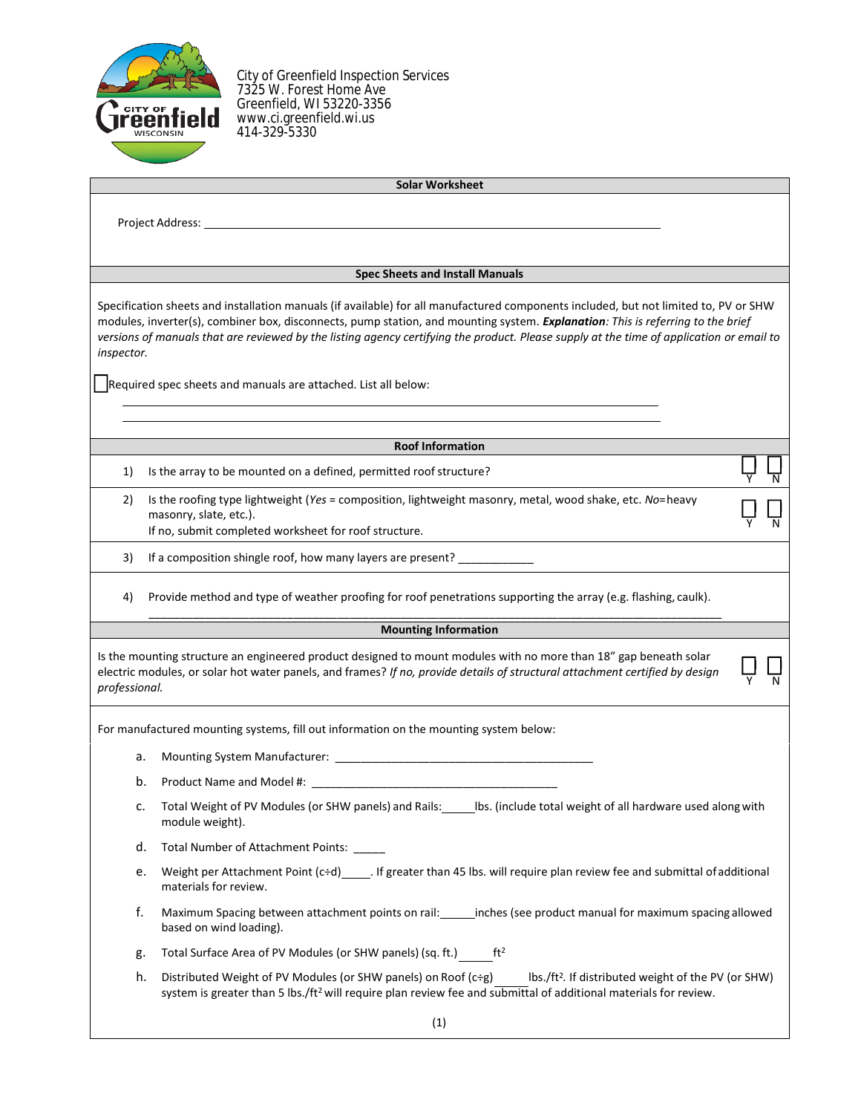

City of Greenfield Inspection Services 7325 W. Forest Home Ave Greenfield, WI 53220-3356 www.ci.greenfield.wi.us 414-329-5330

| <b>Solar Worksheet</b> |
|------------------------|
|                        |

Project Address:

#### **Spec Sheets and Install Manuals**

Specification sheets and installation manuals (if available) for all manufactured components included, but not limited to, PV or SHW modules, inverter(s), combiner box, disconnects, pump station, and mounting system. *Explanation: This is referring to the brief versions of manuals that are reviewed by the listing agency certifying the product. Please supply at the time of application or email to inspector.*

Required spec sheets and manuals are attached. List all below:

# **Roof Information**

Y

☐ Y

☐ Y

☐ N

☐ N

☐ N

- 1) Is the array to be mounted on a defined, permitted roof structure?
- 2) Is the roofing type lightweight (*Yes* = composition, lightweight masonry, metal, wood shake, etc. *No*=heavy masonry, slate, etc.). If no, submit completed worksheet for roof structure.
- 3) If a composition shingle roof, how many layers are present? \_\_\_\_\_\_\_\_\_\_\_\_
- 4) Provide method and type of weather proofing for roof penetrations supporting the array (e.g. flashing, caulk). \_\_\_\_\_\_\_\_\_\_\_\_\_\_\_\_\_\_\_\_\_\_\_\_\_\_\_\_\_\_\_\_\_\_\_\_\_\_\_\_\_\_\_\_\_\_\_\_\_\_\_\_\_\_\_\_\_\_\_\_\_\_\_\_\_\_\_\_\_\_\_\_\_\_\_\_\_\_\_\_\_\_\_\_\_\_\_\_\_\_\_

### **Mounting Information**

Is the mounting structure an engineered product designed to mount modules with no more than 18" gap beneath solar electric modules, or solar hot water panels, and frames? *If no, provide details of structural attachment certified by design professional.*

For manufactured mounting systems, fill out information on the mounting system below:

a. Mounting System Manufacturer: \_\_\_\_\_\_\_\_\_\_\_\_\_\_\_\_\_\_\_\_\_\_\_\_\_\_\_\_\_\_\_\_\_\_\_\_\_\_\_\_\_

- b. Product Name and Model #: \_\_\_\_\_\_\_
- c. Total Weight of PV Modules (or SHW panels) and Rails: \_\_\_\_\_ lbs. (include total weight of all hardware used along with module weight).
- d. Total Number of Attachment Points:
- e. Weight per Attachment Point (c÷d)\_\_\_\_\_\_. If greater than 45 lbs. will require plan review fee and submittal of additional materials for review.
- f. Maximum Spacing between attachment points on rail: \_\_\_\_\_\_inches (see product manual for maximum spacing allowed based on wind loading).
- g. Total Surface Area of PV Modules (or SHW panels) (sq. ft.) ft<sup>2</sup>
- h. Distributed Weight of PV Modules (or SHW panels) on Roof (c÷g) Ibs./ft<sup>2</sup>. If distributed weight of the PV (or SHW) system is greater than 5 lbs./ft<sup>2</sup> will require plan review fee and submittal of additional materials for review.